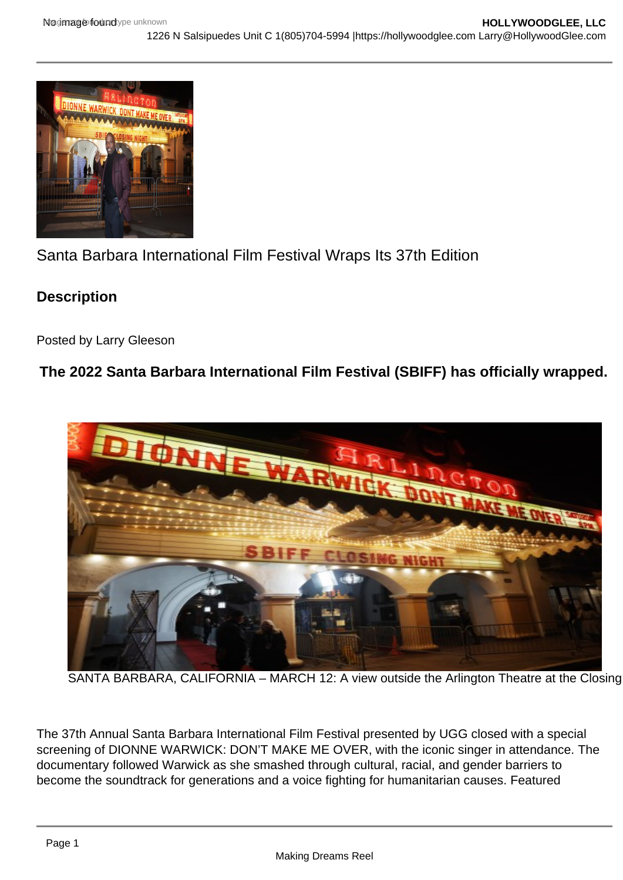# Santa Barbara International Film Festival Wraps Its 37th Edition

**Description** 

Posted by Larry Gleeson

The 2022 Santa Barbara International Film Festival (SBIFF) has officially wrapped.

## SANTA BARBARA, CALIFORNIA - MARCH 12: A view outside the Arlington Theatre at the Closing

The 37th Annual Santa Barbara International Film Festival presented by UGG closed with a special screening of DIONNE WARWICK: DON'T MAKE ME OVER, with the iconic singer in attendance. The documentary followed Warwick as she smashed through cultural, racial, and gender barriers to become the soundtrack for generations and a voice fighting for humanitarian causes. Featured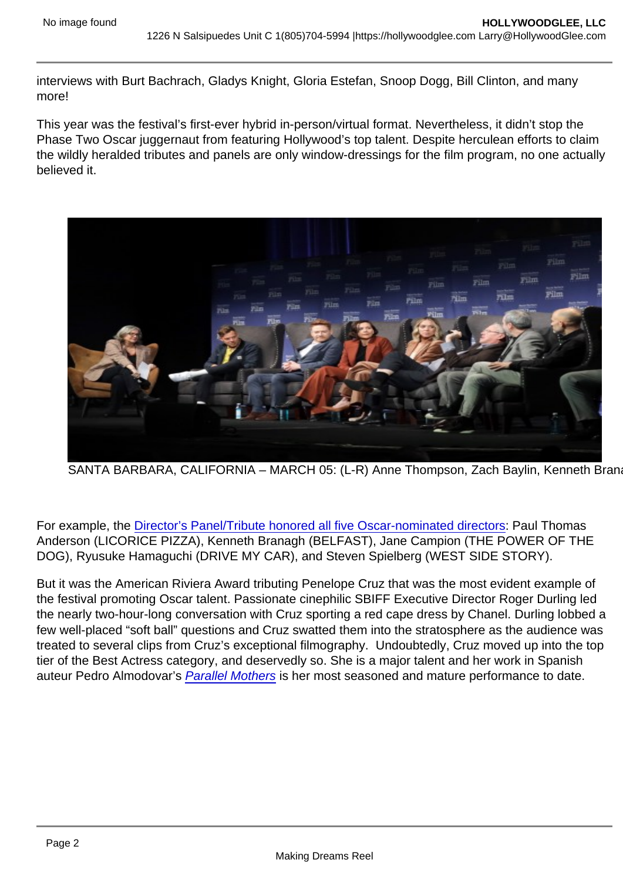interviews with Burt Bachrach, Gladys Knight, Gloria Estefan, Snoop Dogg, Bill Clinton, and many more!

This year was the festival's first-ever hybrid in-person/virtual format. Nevertheless, it didn't stop the Phase Two Oscar juggernaut from featuring Hollywood's top talent. Despite herculean efforts to claim the wildly heralded tributes and panels are only window-dressings for the film program, no one actually believed it.

SANTA BARBARA, CALIFORNIA - MARCH 05: (L-R) Anne Thompson, Zach Baylin, Kenneth Bran

For example, the [Director's Panel/Tribute honored all five Oscar-nominated directors](https://hollywoodglee.com/2022/03/04/all-five-oscar-nominated-directors-honored-at-santa-barbara-film-festival/): Paul Thomas Anderson (LICORICE PIZZA), Kenneth Branagh (BELFAST), Jane Campion (THE POWER OF THE DOG), Ryusuke Hamaguchi (DRIVE MY CAR), and Steven Spielberg (WEST SIDE STORY).

But it was the American Riviera Award tributing Penelope Cruz that was the most evident example of the festival promoting Oscar talent. Passionate cinephilic SBIFF Executive Director Roger Durling led the nearly two-hour-long conversation with Cruz sporting a red cape dress by Chanel. Durling lobbed a few well-placed "soft ball" questions and Cruz swatted them into the stratosphere as the audience was treated to several clips from Cruz's exceptional filmography. Undoubtedly, Cruz moved up into the top tier of the Best Actress category, and deservedly so. She is a major talent and her work in Spanish auteur Pedro Almodovar's [Parallel Mothers](https://hollywoodglee.com/2021/11/14/pedro-almodovar-in-the-house-with-parallel-mothers-afifest/) is her most seasoned and mature performance to date.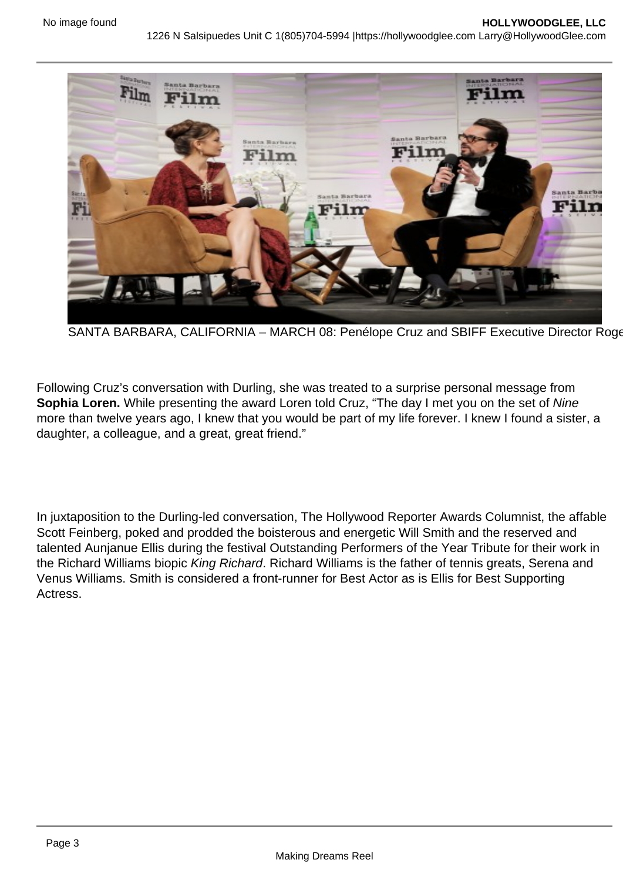### SANTA BARBARA, CALIFORNIA - MARCH 08: Penélope Cruz and SBIFF Executive Director Roge

Following Cruz's conversation with Durling, she was treated to a surprise personal message from Sophia Loren. While presenting the award Loren told Cruz, "The day I met you on the set of Nine more than twelve years ago, I knew that you would be part of my life forever. I knew I found a sister, a daughter, a colleague, and a great, great friend."

In juxtaposition to the Durling-led conversation, The Hollywood Reporter Awards Columnist, the affable Scott Feinberg, poked and prodded the boisterous and energetic Will Smith and the reserved and talented Aunjanue Ellis during the festival Outstanding Performers of the Year Tribute for their work in the Richard Williams biopic King Richard. Richard Williams is the father of tennis greats, Serena and Venus Williams. Smith is considered a front-runner for Best Actor as is Ellis for Best Supporting **Actress**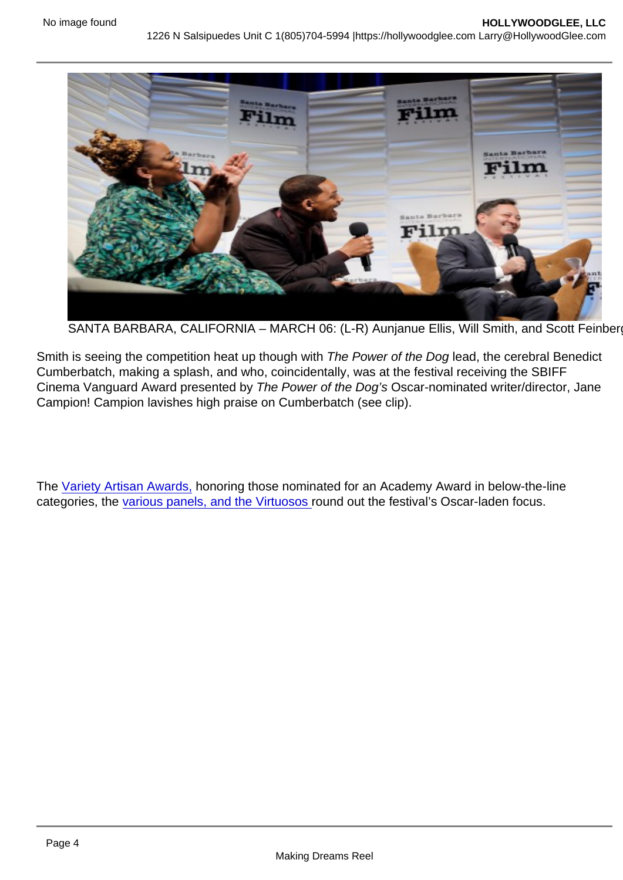SANTA BARBARA, CALIFORNIA - MARCH 06: (L-R) Aunjanue Ellis, Will Smith, and Scott Feinber

Smith is seeing the competition heat up though with The Power of the Dog lead, the cerebral Benedict Cumberbatch, making a splash, and who, coincidentally, was at the festival receiving the SBIFF Cinema Vanguard Award presented by The Power of the Dog's Oscar-nominated writer/director, Jane Campion! Campion lavishes high praise on Cumberbatch (see clip).

The [Variety Artisan Awards,](https://hollywoodglee.com/2022/03/08/variety-artisans-award-presented-to-lin-manuel-miranda-germaine-franco-greig-fraser-tamara-deverell-and-more-sbiff/) honoring those nominated for an Academy Award in below-the-line categories, the [various panels, and the Virtuosos r](https://hollywoodglee.com/2022/03/06/catching-up-with-sbiff-panels-and-virtuosos/)ound out the festival's Oscar-laden focus.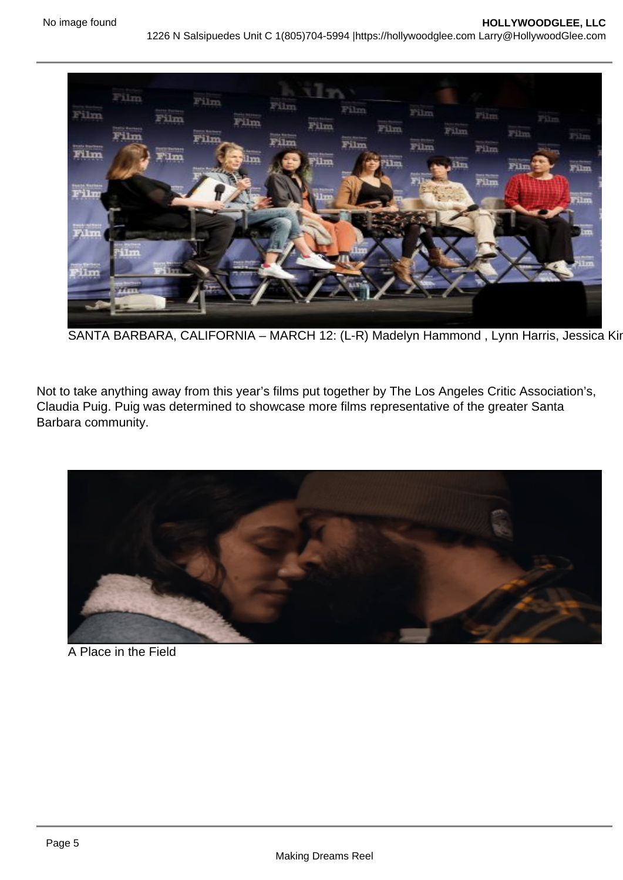### SANTA BARBARA, CALIFORNIA - MARCH 12: (L-R) Madelyn Hammond, Lynn Harris, Jessica Kir

Not to take anything away from this year's films put together by The Los Angeles Critic Association's, Claudia Puig. Puig was determined to showcase more films representative of the greater Santa Barbara community.

A Place in the Field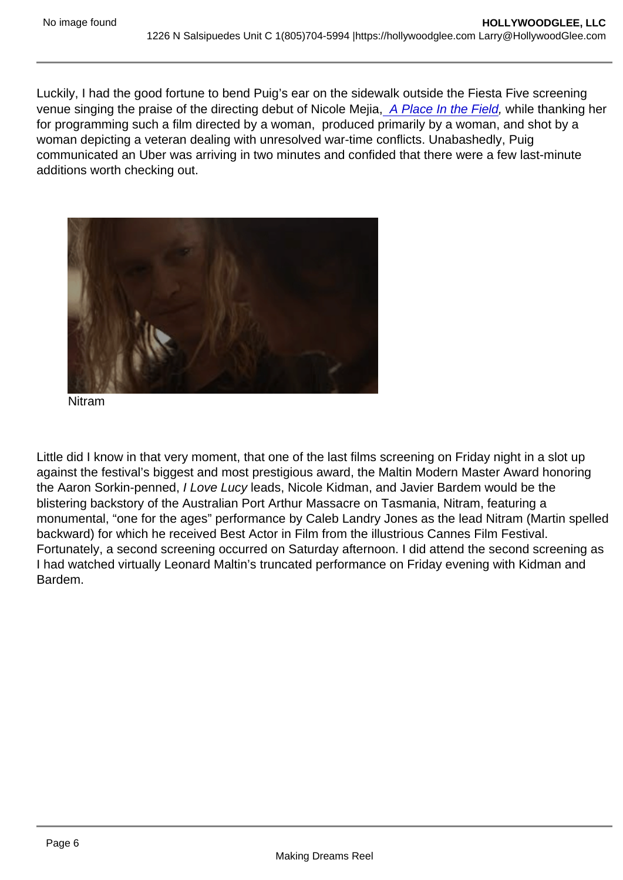Luckily, I had the good fortune to bend Puig's ear on the sidewalk outside the Fiesta Five screening venue singing the praise of the directing debut of Nicole Mejia, [A Place In the Field,](https://hollywoodglee.com/2022/03/05/a-place-in-the-field-is-a-must-see-selection-at-the-2022-santa-barbara-film-festival/) while thanking her for programming such a film directed by a woman, produced primarily by a woman, and shot by a woman depicting a veteran dealing with unresolved war-time conflicts. Unabashedly, Puig communicated an Uber was arriving in two minutes and confided that there were a few last-minute additions worth checking out.

Nitram

Little did I know in that very moment, that one of the last films screening on Friday night in a slot up against the festival's biggest and most prestigious award, the Maltin Modern Master Award honoring the Aaron Sorkin-penned, I Love Lucy leads, Nicole Kidman, and Javier Bardem would be the blistering backstory of the Australian Port Arthur Massacre on Tasmania, Nitram, featuring a monumental, "one for the ages" performance by Caleb Landry Jones as the lead Nitram (Martin spelled backward) for which he received Best Actor in Film from the illustrious Cannes Film Festival. Fortunately, a second screening occurred on Saturday afternoon. I did attend the second screening as I had watched virtually Leonard Maltin's truncated performance on Friday evening with Kidman and Bardem.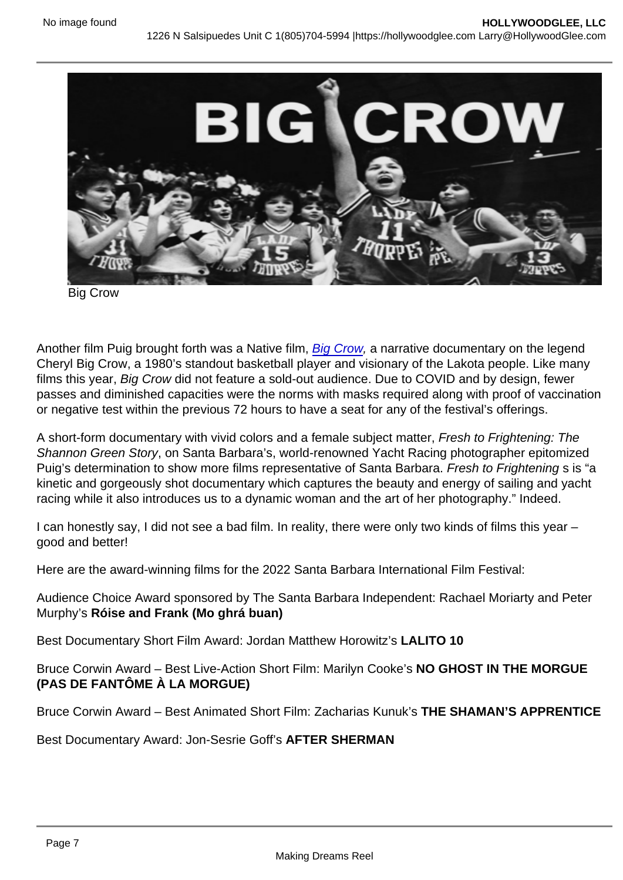Big Crow

Another film Puig brought forth was a Native film, [Big Crow](https://hollywoodglee.com/2022/03/06/big-crow-world-premiere-captures-a-teens-energy-and-dream-for-the-future-at-santa-barbara/), a narrative documentary on the legend Cheryl Big Crow, a 1980's standout basketball player and visionary of the Lakota people. Like many films this year, Big Crow did not feature a sold-out audience. Due to COVID and by design, fewer passes and diminished capacities were the norms with masks required along with proof of vaccination or negative test within the previous 72 hours to have a seat for any of the festival's offerings.

A short-form documentary with vivid colors and a female subject matter, Fresh to Frightening: The Shannon Green Story, on Santa Barbara's, world-renowned Yacht Racing photographer epitomized Puig's determination to show more films representative of Santa Barbara. Fresh to Frightening s is "a kinetic and gorgeously shot documentary which captures the beauty and energy of sailing and yacht racing while it also introduces us to a dynamic woman and the art of her photography." Indeed.

I can honestly say, I did not see a bad film. In reality, there were only two kinds of films this year – good and better!

Here are the award-winning films for the 2022 Santa Barbara International Film Festival:

Audience Choice Award sponsored by The Santa Barbara Independent: Rachael Moriarty and Peter Murphy's Róise and Frank (Mo ghrá buan)

Best Documentary Short Film Award: Jordan Matthew Horowitz's LALITO 10

Bruce Corwin Award – Best Live-Action Short Film: Marilyn Cooke's NO GHOST IN THE MORGUE (PAS DE FANTÔME À LA MORGUE)

Bruce Corwin Award – Best Animated Short Film: Zacharias Kunuk's THE SHAMAN'S APPRENTICE

Best Documentary Award: Jon-Sesrie Goff's AFTER SHERMAN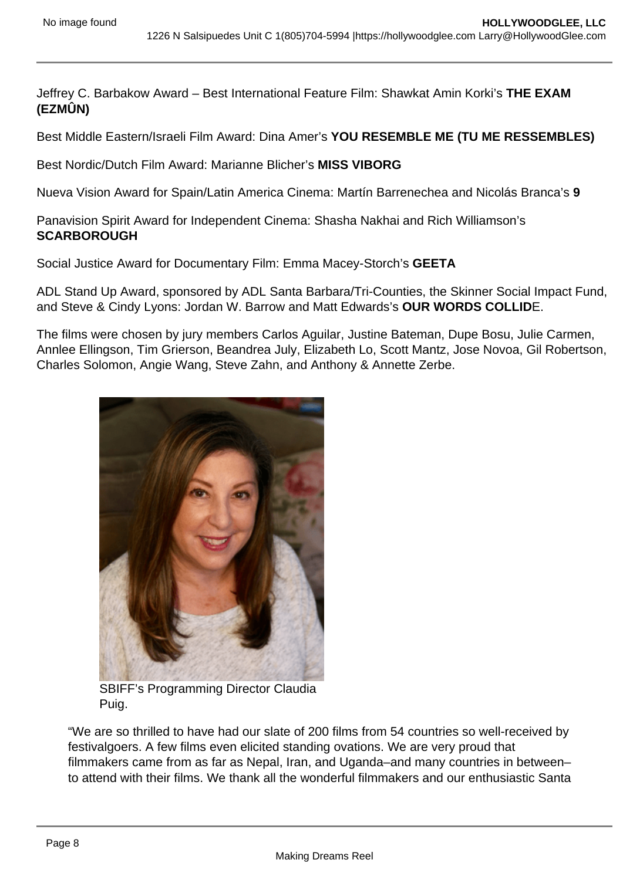Jeffrey C. Barbakow Award – Best International Feature Film: Shawkat Amin Korki's THE EXAM (EZMÛN)

Best Middle Eastern/Israeli Film Award: Dina Amer's YOU RESEMBLE ME (TU ME RESSEMBLES)

Best Nordic/Dutch Film Award: Marianne Blicher's MISS VIBORG

Nueva Vision Award for Spain/Latin America Cinema: Martín Barrenechea and Nicolás Branca's 9

Panavision Spirit Award for Independent Cinema: Shasha Nakhai and Rich Williamson's **SCARBOROUGH** 

Social Justice Award for Documentary Film: Emma Macey-Storch's GEETA

ADL Stand Up Award, sponsored by ADL Santa Barbara/Tri-Counties, the Skinner Social Impact Fund, and Steve & Cindy Lyons: Jordan W. Barrow and Matt Edwards's OUR WORDS COLLIDE.

The films were chosen by jury members Carlos Aguilar, Justine Bateman, Dupe Bosu, Julie Carmen, Annlee Ellingson, Tim Grierson, Beandrea July, Elizabeth Lo, Scott Mantz, Jose Novoa, Gil Robertson, Charles Solomon, Angie Wang, Steve Zahn, and Anthony & Annette Zerbe.

> SBIFF's Programming Director Claudia Puig.

"We are so thrilled to have had our slate of 200 films from 54 countries so well-received by festivalgoers. A few films even elicited standing ovations. We are very proud that filmmakers came from as far as Nepal, Iran, and Uganda–and many countries in between– to attend with their films. We thank all the wonderful filmmakers and our enthusiastic Santa